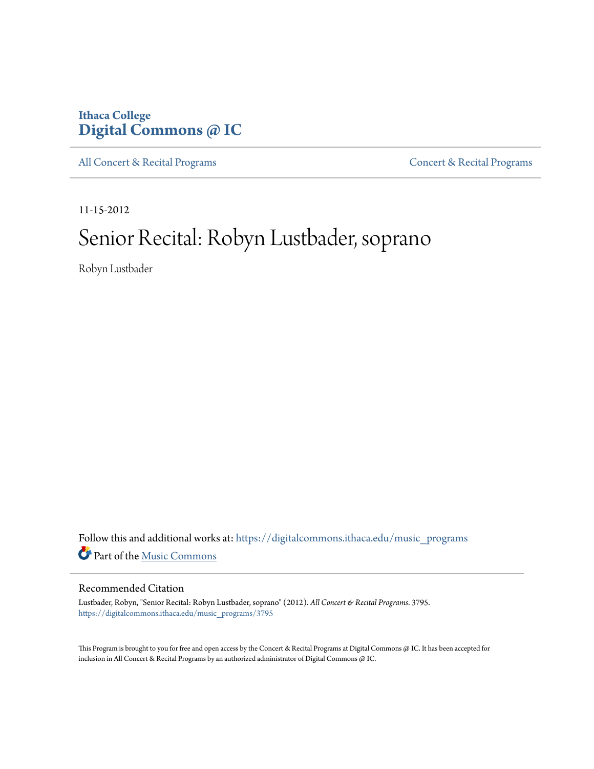# **Ithaca College [Digital Commons @ IC](https://digitalcommons.ithaca.edu?utm_source=digitalcommons.ithaca.edu%2Fmusic_programs%2F3795&utm_medium=PDF&utm_campaign=PDFCoverPages)**

[All Concert & Recital Programs](https://digitalcommons.ithaca.edu/music_programs?utm_source=digitalcommons.ithaca.edu%2Fmusic_programs%2F3795&utm_medium=PDF&utm_campaign=PDFCoverPages) **[Concert & Recital Programs](https://digitalcommons.ithaca.edu/som_programs?utm_source=digitalcommons.ithaca.edu%2Fmusic_programs%2F3795&utm_medium=PDF&utm_campaign=PDFCoverPages)** 

11-15-2012

# Senior Recital: Robyn Lustbader, soprano

Robyn Lustbader

Follow this and additional works at: [https://digitalcommons.ithaca.edu/music\\_programs](https://digitalcommons.ithaca.edu/music_programs?utm_source=digitalcommons.ithaca.edu%2Fmusic_programs%2F3795&utm_medium=PDF&utm_campaign=PDFCoverPages) Part of the [Music Commons](http://network.bepress.com/hgg/discipline/518?utm_source=digitalcommons.ithaca.edu%2Fmusic_programs%2F3795&utm_medium=PDF&utm_campaign=PDFCoverPages)

#### Recommended Citation

Lustbader, Robyn, "Senior Recital: Robyn Lustbader, soprano" (2012). *All Concert & Recital Programs*. 3795. [https://digitalcommons.ithaca.edu/music\\_programs/3795](https://digitalcommons.ithaca.edu/music_programs/3795?utm_source=digitalcommons.ithaca.edu%2Fmusic_programs%2F3795&utm_medium=PDF&utm_campaign=PDFCoverPages)

This Program is brought to you for free and open access by the Concert & Recital Programs at Digital Commons @ IC. It has been accepted for inclusion in All Concert & Recital Programs by an authorized administrator of Digital Commons @ IC.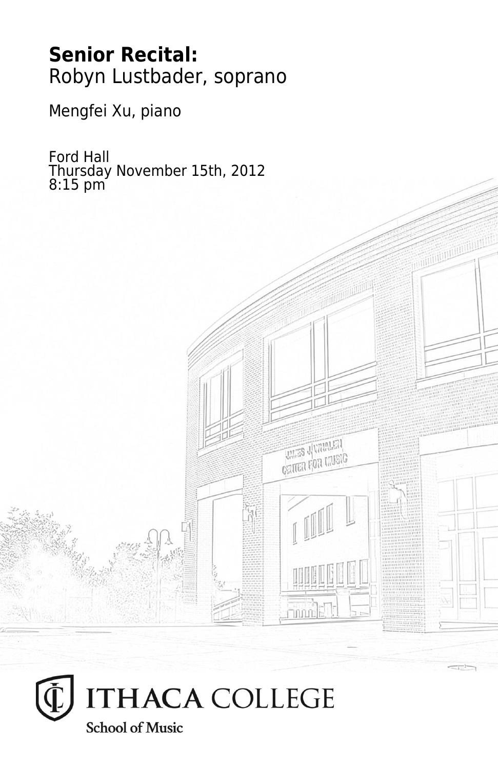# **Senior Recital:** Robyn Lustbader, soprano

Mengfei Xu, piano

Ford Hall Thursday November 15th, 2012 8:15 pm



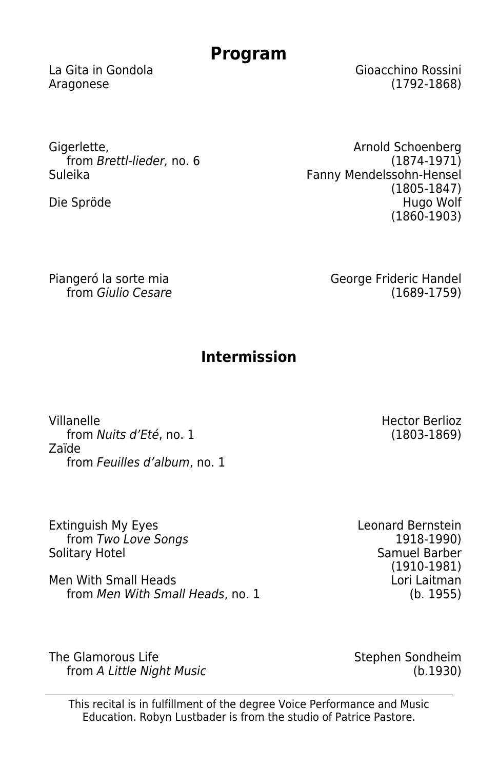# **Program**

La Gita in Gondola Gioacchino Rossini Aragonese (1792-1868)

Gigerlette, from Brettl-lieder, no. 6<br>Suleika

Die Spröde

Arnold Schoenberg (1874-1971) Fanny Mendelssohn-Hensel (1805-1847) (1860-1903)

Piangeró la sorte mia from Giulio Cesare George Frideric Handel (1689-1759)

# **Intermission**

Villanelle from Nuits d'Eté, no. 1 Zaïde from Feuilles d'album, no. 1

Extinguish My Eyes from Two Love Songs Solitary Hotel

Men With Small Heads from Men With Small Heads, no. 1

The Glamorous Life from A Little Night Music Stephen Sondheim (b.1930)

This recital is in fulfillment of the degree Voice Performance and Music Education. Robyn Lustbader is from the studio of Patrice Pastore.

Hector Berlioz (1803-1869)

Leonard Bernstein (1918-1990<br>Samuel Barber (1910-1981) Lori Laitman (b. 1955)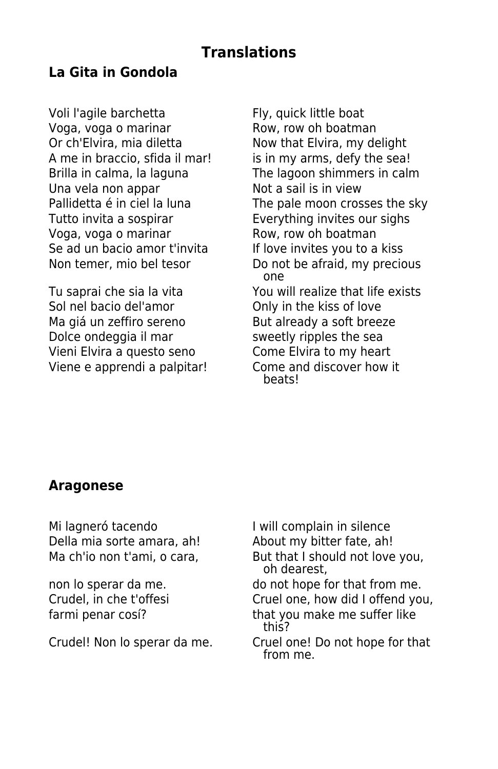## **Translations**

#### **La Gita in Gondola**

Voli l'agile barchetta Fly, quick little boat Voga, voga o marinar **Row, row oh boatman**<br>Or ch'Elvira, mia diletta Now that Elvira, my de A me in braccio, sfida il mar! is in my arms, defy the sea! Una vela non appar **Not** a sail is in view Tutto invita a sospirar Tutto invites our sighs Voga, voga o marinar Row, row oh boatman Se ad un bacio amor t'invita If love invites you to a kiss

Sol nel bacio del'amor **Only in the kiss of love** Ma giá un zeffiro sereno But already a soft breeze Dolce ondeggia il mar sweetly ripples the sea Vieni Elvira a questo seno Come Elvira to my heart Viene e apprendi a palpitar! Come and discover how it

Now that Elvira, my delight Brilla in calma, la laguna The lagoon shimmers in calm Pallidetta é in ciel la luna The pale moon crosses the sky Non temer, mio bel tesor Do not be afraid, my precious one Tu saprai che sia la vita You will realize that life exists beats!

#### **Aragonese**

Mi lagneró tacendo<br>
Della mia sorte amara, ah! About my bitter fate, ah! Della mia sorte amara, ah!

Ma ch'io non t'ami, o cara, But that I should not love you, oh dearest, non lo sperar da me.  $\frac{1}{2}$  do not hope for that from me. Crudel, in che t'offesi Cruel one, how did I offend you, farmi penar cosí? that you make me suffer like this? Crudel! Non lo sperar da me. Cruel one! Do not hope for that from me.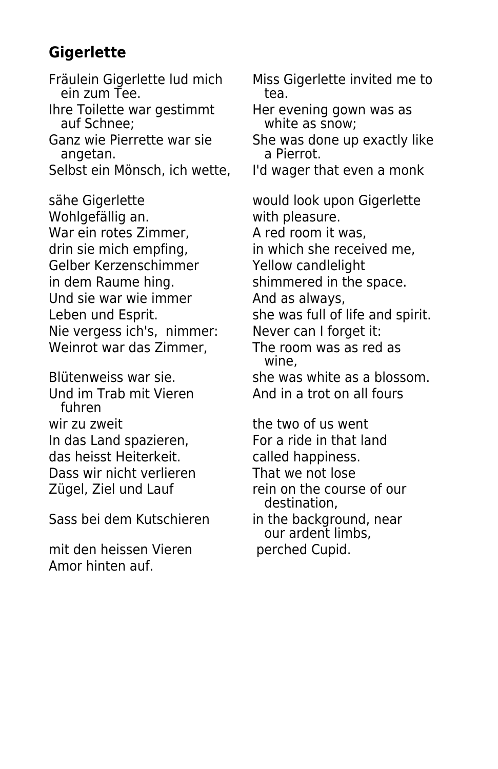# **Gigerlette**

 ein zum Tee. tea. Ihre Toilette war gestimmt<br>
auf Schnee: white as snow:

angetan.

sähe Gigerlette would look upon Gigerlette Wohlgefällig an. With pleasure. War ein rotes Zimmer. A red room it was, drin sie mich empfing, in which she received me, Gelber Kerzenschimmer Yellow candlelight in dem Raume hing. Shimmered in the space. Und sie war wie immer **Example 2** And as always, Nie vergess ich's, nimmer: Never can I forget it: Weinrot war das Zimmer, The room was as red as

Und im Trab mit Vieren **And in a trot on all fours**  fuhren wir zu zweit the two of us went In das Land spazieren, For a ride in that land das heisst Heiterkeit. The called happiness. Dass wir nicht verlieren That we not lose

Sass bei dem Kutschieren in the background, near

mit den heissen Vieren berched Cupid. Amor hinten auf.

Fräulein Gigerlette lud mich Miss Gigerlette invited me to

white as snow:

Ganz wie Pierrette war sie She was done up exactly like<br>angetan. She referred.

Selbst ein Mönsch, ich wette, I'd wager that even a monk

Leben und Esprit. She was full of life and spirit.

wine,

Blütenweiss war sie. She was white as a blossom.

Zügel, Ziel und Lauf rein on the course of our destination, our ardent limbs,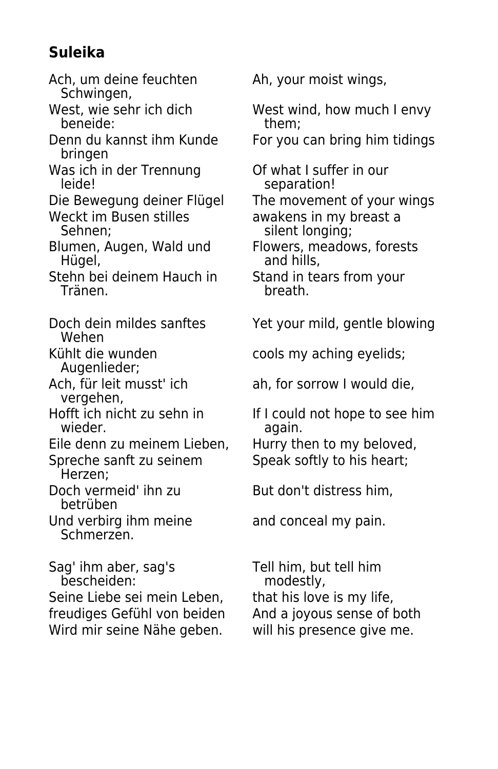# **Suleika**

- Ach, um deine feuchten Ah, your moist wings, Schwingen,
- beneide:
- bringen
- Was ich in der Trennung Of what I suffer in our<br>leide! Separation!

- eckt im Busen stilles awakens in my breast a<br>Sehnen: silent longing;
- 
- Stehn bei deinem Hauch in Stand in tears from your<br>Tränen. Stand in teath. Tränen.
- Wehen<br>Kühlt die wunden
- 
- Augenlieder;<br>Ach, für leit musst' ich vergehen,<br>Hofft ich nicht zu sehn in
- 
- Eile denn zu meinem Lieben, Hurry then to my beloved,
- Herzen;
- betrüben
- Und verbirg ihm meine and conceal my pain. Schmerzen.

Sag' ihm aber, sag's Tell him, but tell him bescheiden: modestly, Seine Liebe sei mein Leben, that his love is my life,<br>freudiges Gefühl von beiden And a joyous sense of both freudiges Gefühl von beiden Wird mir seine Nähe geben. will his presence give me.

West, wie sehr ich dich West wind, how much I envy<br>beneide: them: them:

Denn du kannst ihm Kunde For you can bring him tidings

separation!

Die Bewegung deiner Flügel The movement of your wings<br>Weckt im Busen stilles awakens in my breast a silent longing;

- Blumen, Augen, Wald und Flowers, meadows, forests<br>Hügel, and hills, and hills,
	-
- Doch dein mildes sanftes Yet your mild, gentle blowing

cools my aching eyelids;

ah, for sorrow I would die,

offt ich nicht zu sehn in If I could not hope to see him<br>wieder. again.

Spreche sanft zu seinem Speak softly to his heart;

Doch vermeid' ihn zu But don't distress him,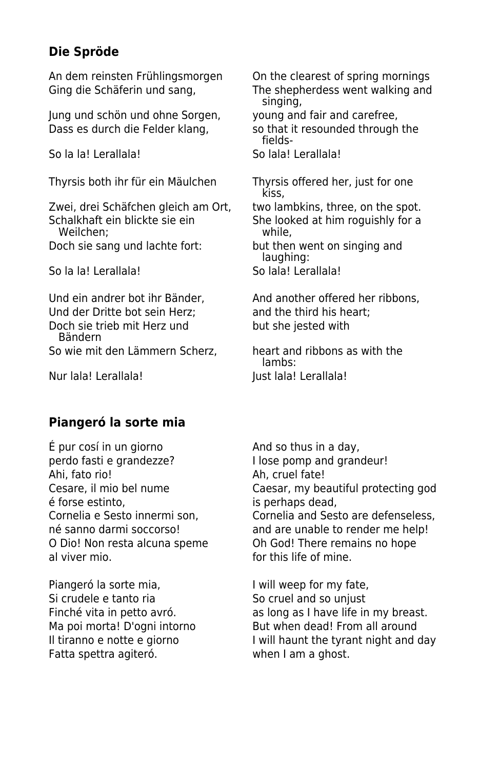#### **Die Spröde**

An dem reinsten Frühlingsmorgen On the clearest of spring mornings

Jung und schön und ohne Sorgen, young and fair and carefree, Dass es durch die Felder klang, so that it resounded through the

So la la! Lerallala! So lala! Lerallala!

Thyrsis both ihr für ein Mäulchen Thyrsis offered her, just for one

Zwei, drei Schäfchen gleich am Ort, two lambkins, three, on the spot.<br>Schalkhaft ein blickte sie ein som the looked at him roquishly for a Weilchen<sup>,</sup>

So la la! Lerallala! So lala! Lerallala!

Und der Dritte bot sein Herz; and the third his heart; Doch sie trieb mit Herz und but she jested with Bändern So wie mit den Lämmern Scherz, heart and ribbons as with the

Ging die Schäferin und sang, The shepherdess went walking and singing,

fields-

kiss,

She looked at him roguishly for a<br>while.

Doch sie sang und lachte fort: but then went on singing and laughing:

Und ein andrer bot ihr Bänder. And another offered her ribbons,

 lambs: Nur lala! Lerallala! Just lala! Lerallala!

#### **Piangeró la sorte mia**

 $\acute{E}$  pur cosí in un giorno  $\qquad \qquad$  And so thus in a day, perdo fasti e grandezze? I lose pomp and grandeur! Ahi, fato rio! Ah, cruel fate! é forse estinto, is perhaps dead, al viver mio. **For the all viver mine** and viver mine.

Piangeró la sorte mia, and i will weep for my fate, Si crudele e tanto ria Some Contractor Contractor Some Cruel and so unjust Fatta spettra agiteró. **El proportado este a mundo estudir el proportado en la m**agneta.

Cesare, il mio bel nume Caesar, my beautiful protecting god Cornelia e Sesto innermi son, Cornelia and Sesto are defenseless, né sanno darmi soccorso! and are unable to render me help! O Dio! Non resta alcuna speme Oh God! There remains no hope

Finché vita in petto avró. and as long as I have life in my breast. Ma poi morta! D'ogni intorno But when dead! From all around Il tiranno e notte e giorno I will haunt the tyrant night and day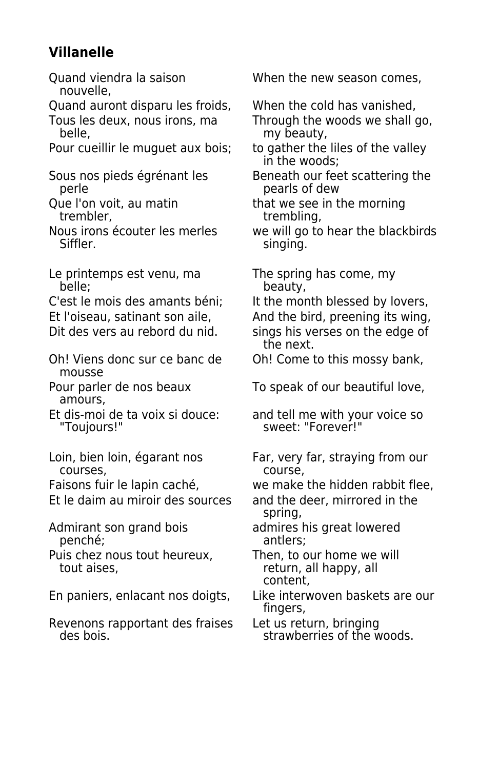# **Villanelle**

nouvelle,

Quand auront disparu les froids, When the cold has vanished,

Pour cueillir le muguet aux bois; to gather the liles of the valley

Le printemps est venu, ma<br>belle:<br>beauty,<br>beauty,

Et l'oiseau, satinant son aile, and the bird, preening its wing,

Oh! Viens donc sur ce banc de Oh! Come to this mossy bank, mousse

amours,

courses, course,

Et le daim au miroir des sources and the deer, mirrored in the

penché;

Puis chez nous tout heureux, Then, to our home we will<br>tout aises. Then, all happy, all

Revenons rapportant des fraises Let us return, bringing<br>des bois. strawberries of the w

Quand viendra la saison When the new season comes,

Tous les deux, nous irons, ma<br>belle. More beauty. belle. my beauty,

in the woods;

Sous nos pieds égrénant les<br>peris of dew<br>pearls of dew pearls of dew

Que l'on voit, au matin entil that we see in the morning<br>trembling. trembling,

Nous irons écouter les merles we will go to hear the blackbirds<br>Siffler<br>Siffler singing.

beauty,

C'est le mois des amants béni; It the month blessed by lovers,

Dit des vers au rebord du nid. sings his verses on the edge of the next.

Pour parler de nos beaux To speak of our beautiful love,

Et dis-moi de ta voix si douce: and tell me with your voice so<br>"Toujours!" sweet: "Forever!" sweet: "Forever!"

Loin, bien loin, égarant nos Far, very far, straying from our

Faisons fuir le lapin caché, we make the hidden rabbit flee,

spring,

Admirant son grand bois admires his great lowered<br>
oenché: antiers:

return, all happy, all content,

En paniers, enlacant nos doigts, Like interwoven baskets are our fingers,

strawberries of the woods.